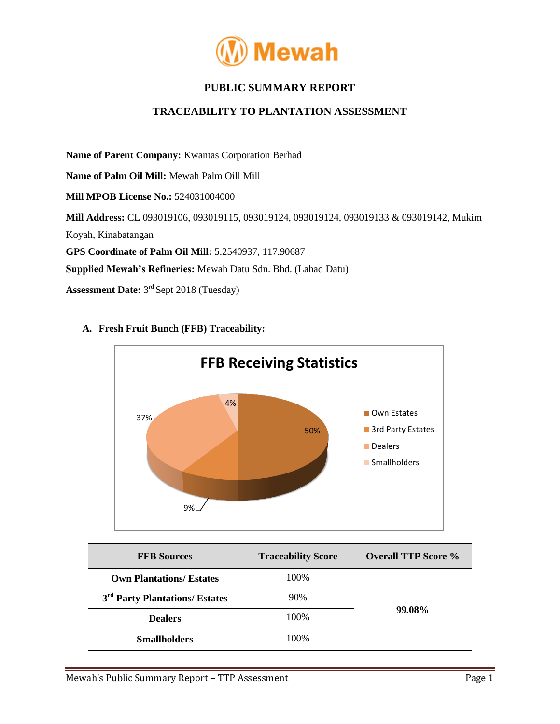

# **PUBLIC SUMMARY REPORT**

## **TRACEABILITY TO PLANTATION ASSESSMENT**

**Name of Parent Company:** Kwantas Corporation Berhad **Name of Palm Oil Mill:** Mewah Palm Oill Mill **Mill MPOB License No.:** 524031004000 **Mill Address:** CL 093019106, 093019115, 093019124, 093019124, 093019133 & 093019142, Mukim Koyah, Kinabatangan **GPS Coordinate of Palm Oil Mill:** 5.2540937, 117.90687 **Supplied Mewah's Refineries:** Mewah Datu Sdn. Bhd. (Lahad Datu) **Assessment Date:** 3 rd Sept 2018 (Tuesday)



### **A. Fresh Fruit Bunch (FFB) Traceability:**

| <b>FFB Sources</b>                         | <b>Traceability Score</b> | <b>Overall TTP Score %</b> |  |
|--------------------------------------------|---------------------------|----------------------------|--|
| <b>Own Plantations/ Estates</b>            | 100%                      | 99.08%                     |  |
| 3 <sup>rd</sup> Party Plantations/ Estates | 90%                       |                            |  |
| <b>Dealers</b>                             | 100%                      |                            |  |
| <b>Smallholders</b>                        | 100%                      |                            |  |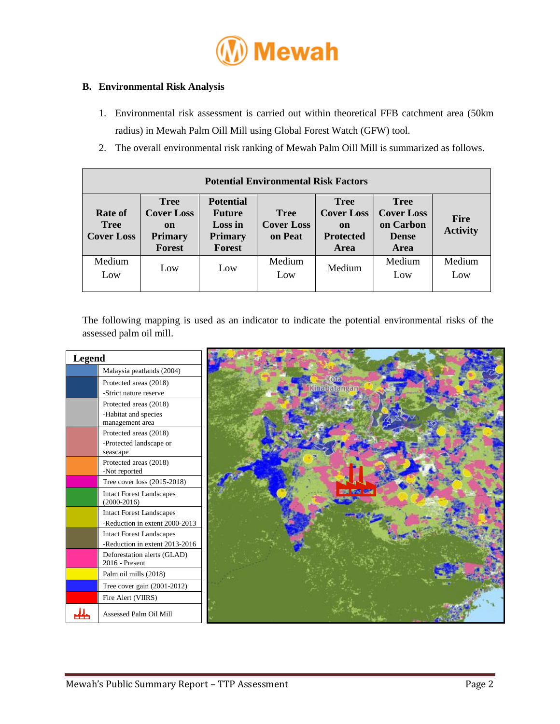

#### **B. Environmental Risk Analysis**

- 1. Environmental risk assessment is carried out within theoretical FFB catchment area (50km radius) in Mewah Palm Oill Mill using Global Forest Watch (GFW) tool.
- 2. The overall environmental risk ranking of Mewah Palm Oill Mill is summarized as follows.

| <b>Potential Environmental Risk Factors</b> |                                                                                      |                                                                                 |                                             |                                                                    |                                                                       |                                |  |  |
|---------------------------------------------|--------------------------------------------------------------------------------------|---------------------------------------------------------------------------------|---------------------------------------------|--------------------------------------------------------------------|-----------------------------------------------------------------------|--------------------------------|--|--|
| Rate of<br><b>Tree</b><br><b>Cover Loss</b> | <b>Tree</b><br><b>Cover Loss</b><br><sub>on</sub><br><b>Primary</b><br><b>Forest</b> | <b>Potential</b><br><b>Future</b><br>Loss in<br><b>Primary</b><br><b>Forest</b> | <b>Tree</b><br><b>Cover Loss</b><br>on Peat | <b>Tree</b><br><b>Cover Loss</b><br>on<br><b>Protected</b><br>Area | <b>Tree</b><br><b>Cover Loss</b><br>on Carbon<br><b>Dense</b><br>Area | <b>Fire</b><br><b>Activity</b> |  |  |
| Medium<br>Low                               | Low                                                                                  | Low                                                                             | Medium<br>Low                               | Medium                                                             | Medium<br>Low                                                         | Medium<br>Low                  |  |  |

The following mapping is used as an indicator to indicate the potential environmental risks of the assessed palm oil mill.